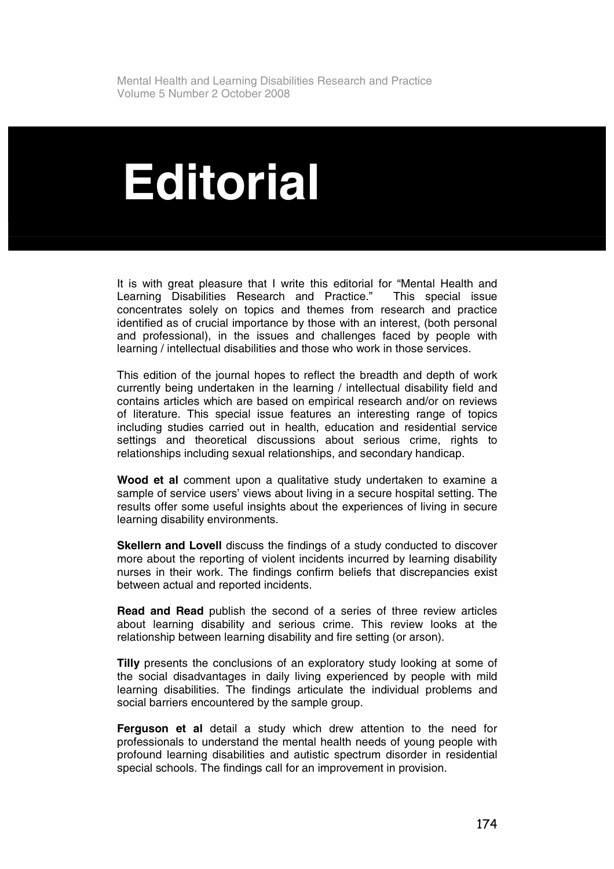## **Editorial**

It is with great pleasure that I write this editorial for "Mental Health and Learning Disabilities Research and Practice." This special issue concentrates solely on topics and themes from research and practice identified as of crucial importance by those with an interest, (both personal and professional), in the issues and challenges faced by people with learning / intellectual disabilities and those who work in those services.

This edition of the journal hopes to reflect the breadth and depth of work currently being undertaken in the learning / intellectual disability field and contains articles which are based on empirical research and/or on reviews of literature. This special issue features an interesting range of topics including studies carried out in health, education and residential service settings and theoretical discussions about serious crime, rights to relationships including sexual relationships, and secondary handicap.

**Wood et al** comment upon a qualitative study undertaken to examine a sample of service users' views about living in a secure hospital setting. The results offer some useful insights about the experiences of living in secure learning disability environments.

**Skellern and Lovell** discuss the findings of a study conducted to discover more about the reporting of violent incidents incurred by learning disability nurses in their work. The findings confirm beliefs that discrepancies exist between actual and reported incidents.

**Read and Read** publish the second of a series of three review articles about learning disability and serious crime. This review looks at the relationship between learning disability and fire setting (or arson).

**Tilly** presents the conclusions of an exploratory study looking at some of the social disadvantages in daily living experienced by people with mild learning disabilities. The findings articulate the individual problems and social barriers encountered by the sample group.

**Ferguson et al** detail a study which drew attention to the need for professionals to understand the mental health needs of young people with profound learning disabilities and autistic spectrum disorder in residential special schools. The findings call for an improvement in provision.